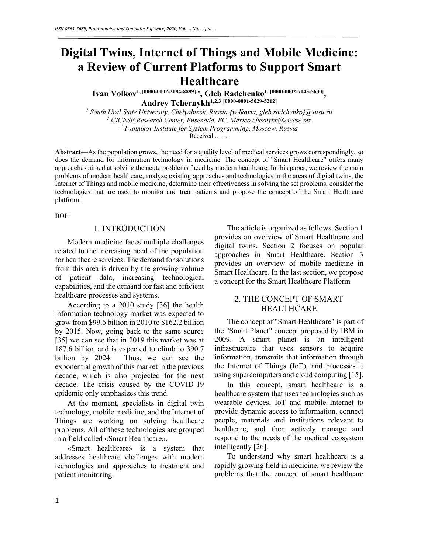# **Digital Twins, Internet of Things and Mobile Medicine: a Review of Current Platforms to Support Smart Healthcare**

**Ivan Volkov1, [0000-0002-2084-8899],**\* **, Gleb Radchenko1, [0000-0002-7145-5630], Andrey Tchernykh1,2,3 [0000-0001-5029-5212]**

 *South Ural State University, Chelyabinsk, Russia {volkovia, gleb.radchenko}@susu.ru CICESE Research Center, Ensenada, BC, México chernykh@cicese.mx Ivannikov Institute for System Programming, Moscow, Russia*  Received …….

**Abstract**—As the population grows, the need for a quality level of medical services grows correspondingly, so does the demand for information technology in medicine. The concept of "Smart Healthcare" offers many approaches aimed at solving the acute problems faced by modern healthcare. In this paper, we review the main problems of modern healthcare, analyze existing approaches and technologies in the areas of digital twins, the Internet of Things and mobile medicine, determine their effectiveness in solving the set problems, consider the technologies that are used to monitor and treat patients and propose the concept of the Smart Healthcare platform.

#### **DOI**:

#### 1. INTRODUCTION

Modern medicine faces multiple challenges related to the increasing need of the population for healthcare services. The demand for solutions from this area is driven by the growing volume of patient data, increasing technological capabilities, and the demand for fast and efficient healthcare processes and systems.

According to a 2010 study [36] the health information technology market was expected to grow from \$99.6 billion in 2010 to \$162.2 billion by 2015. Now, going back to the same source [35] we can see that in 2019 this market was at 187.6 billion and is expected to climb to 390.7 billion by 2024. Thus, we can see the exponential growth of this market in the previous decade, which is also projected for the next decade. The crisis caused by the COVID-19 epidemic only emphasizes this trend.

At the moment, specialists in digital twin technology, mobile medicine, and the Internet of Things are working on solving healthcare problems. All of these technologies are grouped in a field called «Smart Healthcare».

«Smart healthcare» is a system that addresses healthcare challenges with modern technologies and approaches to treatment and patient monitoring.

The article is organized as follows. Section 1 provides an overview of Smart Healthcare and digital twins. Section 2 focuses on popular approaches in Smart Healthcare. Section 3 provides an overview of mobile medicine in Smart Healthcare. In the last section, we propose a concept for the Smart Healthcare Platform

## 2. THE CONCEPT OF SMART HEALTHCARE

The concept of "Smart Healthcare" is part of the "Smart Planet" concept proposed by IBM in 2009. A smart planet is an intelligent infrastructure that uses sensors to acquire information, transmits that information through the Internet of Things (IoT), and processes it using supercomputers and cloud computing [15].

In this concept, smart healthcare is a healthcare system that uses technologies such as wearable devices, IoT and mobile Internet to provide dynamic access to information, connect people, materials and institutions relevant to healthcare, and then actively manage and respond to the needs of the medical ecosystem intelligently [26].

To understand why smart healthcare is a rapidly growing field in medicine, we review the problems that the concept of smart healthcare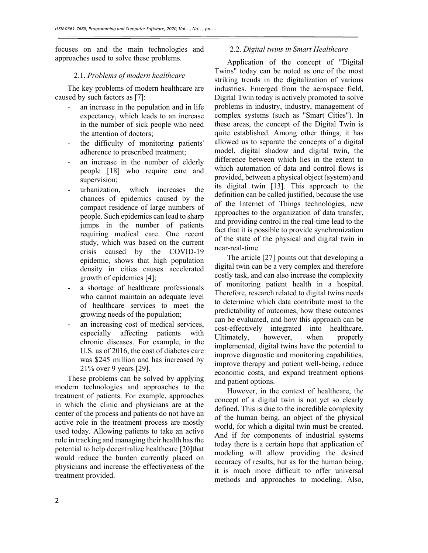focuses on and the main technologies and approaches used to solve these problems.

## 2.1. *Problems of modern healthcare*

The key problems of modern healthcare are caused by such factors as [7]:

- an increase in the population and in life expectancy, which leads to an increase in the number of sick people who need the attention of doctors;
- the difficulty of monitoring patients' adherence to prescribed treatment;
- an increase in the number of elderly people [18] who require care and supervision;
- urbanization, which increases the chances of epidemics caused by the compact residence of large numbers of people. Such epidemics can lead to sharp jumps in the number of patients requiring medical care. One recent study, which was based on the current crisis caused by the COVID-19 epidemic, shows that high population density in cities causes accelerated growth of epidemics [4];
- a shortage of healthcare professionals who cannot maintain an adequate level of healthcare services to meet the growing needs of the population;
- an increasing cost of medical services, especially affecting patients with chronic diseases. For example, in the U.S. as of 2016, the cost of diabetes care was \$245 million and has increased by 21% over 9 years [29].

These problems can be solved by applying modern technologies and approaches to the treatment of patients. For example, approaches in which the clinic and physicians are at the center of the process and patients do not have an active role in the treatment process are mostly used today. Allowing patients to take an active role in tracking and managing their health has the potential to help decentralize healthcare [20]that would reduce the burden currently placed on physicians and increase the effectiveness of the treatment provided.

## 2.2. *Digital twins in Smart Healthcare*

Application of the concept of "Digital Twins" today can be noted as one of the most striking trends in the digitalization of various industries. Emerged from the aerospace field, Digital Twin today is actively promoted to solve problems in industry, industry, management of complex systems (such as "Smart Cities"). In these areas, the concept of the Digital Twin is quite established. Among other things, it has allowed us to separate the concepts of a digital model, digital shadow and digital twin, the difference between which lies in the extent to which automation of data and control flows is provided, between a physical object (system) and its digital twin [13]. This approach to the definition can be called justified, because the use of the Internet of Things technologies, new approaches to the organization of data transfer, and providing control in the real-time lead to the fact that it is possible to provide synchronization of the state of the physical and digital twin in near-real-time.

The article [27] points out that developing a digital twin can be a very complex and therefore costly task, and can also increase the complexity of monitoring patient health in a hospital. Therefore, research related to digital twins needs to determine which data contribute most to the predictability of outcomes, how these outcomes can be evaluated, and how this approach can be cost-effectively integrated into healthcare. Ultimately, however, when properly implemented, digital twins have the potential to improve diagnostic and monitoring capabilities, improve therapy and patient well-being, reduce economic costs, and expand treatment options and patient options.

However, in the context of healthcare, the concept of a digital twin is not yet so clearly defined. This is due to the incredible complexity of the human being, an object of the physical world, for which a digital twin must be created. And if for components of industrial systems today there is a certain hope that application of modeling will allow providing the desired accuracy of results, but as for the human being, it is much more difficult to offer universal methods and approaches to modeling. Also,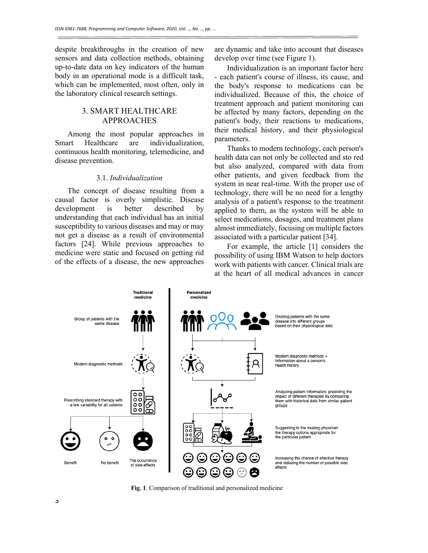despite breakthroughs in the creation of new sensors and data collection methods, obtaining up-to-date data on key indicators of the human body in an operational mode is a difficult task, which can be implemented, most often, only in the laboratory clinical research settings.

## 3. SMART HEALTHCARE APPROACHES

Among the most popular approaches in Smart Healthcare are individualization, continuous health monitoring, telemedicine, and disease prevention.

#### 3.1. *Individualization*

The concept of disease resulting from a causal factor is overly simplistic. Disease development is better described by understanding that each individual has an initial susceptibility to various diseases and may or may not get a disease as a result of environmental factors [24]. While previous approaches to medicine were static and focused on getting rid of the effects of a disease, the new approaches are dynamic and take into account that diseases develop over time (see Figure 1).

Individualization is an important factor here - each patient's course of illness, its cause, and the body's response to medications can be individualized. Because of this, the choice of treatment approach and patient monitoring can be affected by many factors, depending on the patient's body, their reactions to medications, their medical history, and their physiological parameters.

Thanks to modern technology, each person's health data can not only be collected and sto red but also analyzed, compared with data from other patients, and given feedback from the system in near real-time. With the proper use of technology, there will be no need for a lengthy analysis of a patient's response to the treatment applied to them, as the system will be able to select medications, dosages, and treatment plans almost immediately, focusing on multiple factors associated with a particular patient [34].

For example, the article [1] considers the possibility of using IBM Watson to help doctors work with patients with cancer. Clinical trials are at the heart of all medical advances in cancer



**Fig. 1**. Comparison of traditional and personalized medicine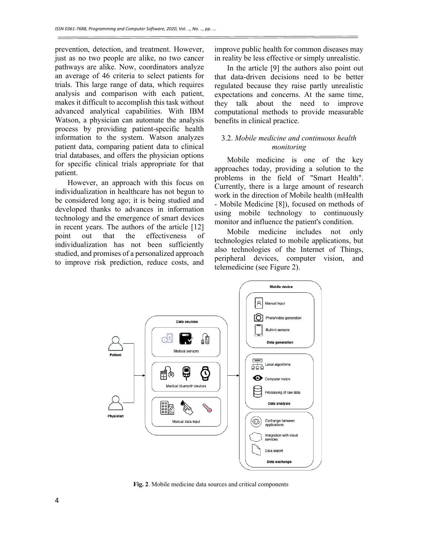prevention, detection, and treatment. However, just as no two people are alike, no two cancer pathways are alike. Now, coordinators analyze an average of 46 criteria to select patients for trials. This large range of data, which requires analysis and comparison with each patient, makes it difficult to accomplish this task without advanced analytical capabilities. With IBM Watson, a physician can automate the analysis process by providing patient-specific health information to the system. Watson analyzes patient data, comparing patient data to clinical trial databases, and offers the physician options for specific clinical trials appropriate for that patient.

However, an approach with this focus on individualization in healthcare has not begun to be considered long ago; it is being studied and developed thanks to advances in information technology and the emergence of smart devices in recent years. The authors of the article [12] point out that the effectiveness of individualization has not been sufficiently studied, and promises of a personalized approach to improve risk prediction, reduce costs, and improve public health for common diseases may in reality be less effective or simply unrealistic.

In the article [9] the authors also point out that data-driven decisions need to be better regulated because they raise partly unrealistic expectations and concerns. At the same time, they talk about the need to improve computational methods to provide measurable benefits in clinical practice.

## 3.2. *Mobile medicine and continuous health monitoring*

Mobile medicine is one of the key approaches today, providing a solution to the problems in the field of "Smart Health". Currently, there is a large amount of research work in the direction of Mobile health (mHealth - Mobile Medicine [8]), focused on methods of using mobile technology to continuously monitor and influence the patient's condition.

Mobile medicine includes not only technologies related to mobile applications, but also technologies of the Internet of Things, peripheral devices, computer vision, and telemedicine (see Figure 2).



**Fig. 2**. Mobile medicine data sources and critical components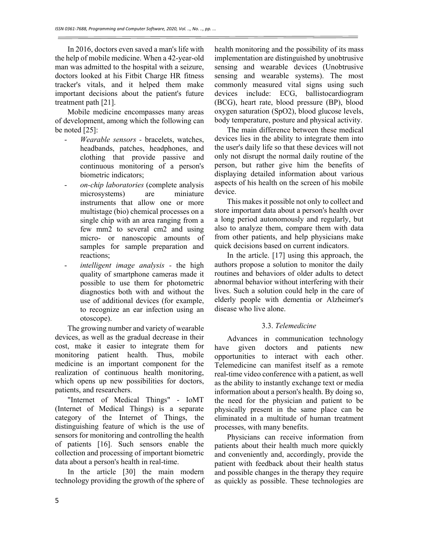In 2016, doctors even saved a man's life with the help of mobile medicine. When a 42-year-old man was admitted to the hospital with a seizure, doctors looked at his Fitbit Charge HR fitness tracker's vitals, and it helped them make important decisions about the patient's future treatment path [21].

Mobile medicine encompasses many areas of development, among which the following can be noted [25]:

- *Wearable sensors -* bracelets, watches, headbands, patches, headphones, and clothing that provide passive and continuous monitoring of a person's biometric indicators;
- *on-chip laboratories* (complete analysis microsystems) are miniature instruments that allow one or more multistage (bio) chemical processes on a single chip with an area ranging from a few mm2 to several cm2 and using micro- or nanoscopic amounts of samples for sample preparation and reactions;
- intelligent image analysis the high quality of smartphone cameras made it possible to use them for photometric diagnostics both with and without the use of additional devices (for example, to recognize an ear infection using an otoscope).

The growing number and variety of wearable devices, as well as the gradual decrease in their cost, make it easier to integrate them for monitoring patient health. Thus, mobile medicine is an important component for the realization of continuous health monitoring, which opens up new possibilities for doctors, patients, and researchers.

"Internet of Medical Things" - IoMT (Internet of Medical Things) is a separate category of the Internet of Things, the distinguishing feature of which is the use of sensors for monitoring and controlling the health of patients [16]. Such sensors enable the collection and processing of important biometric data about a person's health in real-time.

In the article [30] the main modern technology providing the growth of the sphere of health monitoring and the possibility of its mass implementation are distinguished by unobtrusive sensing and wearable devices (Unobtrusive sensing and wearable systems). The most commonly measured vital signs using such devices include: ECG, ballistocardiogram (BCG), heart rate, blood pressure (BP), blood oxygen saturation (SpO2), blood glucose levels, body temperature, posture and physical activity.

The main difference between these medical devices lies in the ability to integrate them into the user's daily life so that these devices will not only not disrupt the normal daily routine of the person, but rather give him the benefits of displaying detailed information about various aspects of his health on the screen of his mobile device.

This makes it possible not only to collect and store important data about a person's health over a long period autonomously and regularly, but also to analyze them, compare them with data from other patients, and help physicians make quick decisions based on current indicators.

In the article. [17] using this approach, the authors propose a solution to monitor the daily routines and behaviors of older adults to detect abnormal behavior without interfering with their lives. Such a solution could help in the care of elderly people with dementia or Alzheimer's disease who live alone.

## 3.3. *Telemedicine*

Advances in communication technology have given doctors and patients new opportunities to interact with each other. Telemedicine can manifest itself as a remote real-time video conference with a patient, as well as the ability to instantly exchange text or media information about a person's health. By doing so, the need for the physician and patient to be physically present in the same place can be eliminated in a multitude of human treatment processes, with many benefits.

Physicians can receive information from patients about their health much more quickly and conveniently and, accordingly, provide the patient with feedback about their health status and possible changes in the therapy they require as quickly as possible. These technologies are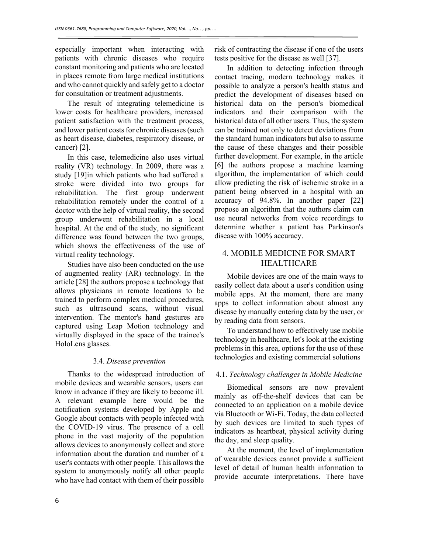especially important when interacting with patients with chronic diseases who require constant monitoring and patients who are located in places remote from large medical institutions and who cannot quickly and safely get to a doctor for consultation or treatment adjustments.

The result of integrating telemedicine is lower costs for healthcare providers, increased patient satisfaction with the treatment process, and lower patient costs for chronic diseases (such as heart disease, diabetes, respiratory disease, or cancer) [2].

In this case, telemedicine also uses virtual reality (VR) technology. In 2009, there was a study [19]in which patients who had suffered a stroke were divided into two groups for rehabilitation. The first group underwent rehabilitation remotely under the control of a doctor with the help of virtual reality, the second group underwent rehabilitation in a local hospital. At the end of the study, no significant difference was found between the two groups, which shows the effectiveness of the use of virtual reality technology.

Studies have also been conducted on the use of augmented reality (AR) technology. In the article [28] the authors propose a technology that allows physicians in remote locations to be trained to perform complex medical procedures, such as ultrasound scans, without visual intervention. The mentor's hand gestures are captured using Leap Motion technology and virtually displayed in the space of the trainee's HoloLens glasses.

#### 3.4. *Disease prevention*

Thanks to the widespread introduction of mobile devices and wearable sensors, users can know in advance if they are likely to become ill. A relevant example here would be the notification systems developed by Apple and Google about contacts with people infected with the COVID-19 virus. The presence of a cell phone in the vast majority of the population allows devices to anonymously collect and store information about the duration and number of a user's contacts with other people. This allows the system to anonymously notify all other people who have had contact with them of their possible

risk of contracting the disease if one of the users tests positive for the disease as well [37].

In addition to detecting infection through contact tracing, modern technology makes it possible to analyze a person's health status and predict the development of diseases based on historical data on the person's biomedical indicators and their comparison with the historical data of all other users. Thus, the system can be trained not only to detect deviations from the standard human indicators but also to assume the cause of these changes and their possible further development. For example, in the article [6] the authors propose a machine learning algorithm, the implementation of which could allow predicting the risk of ischemic stroke in a patient being observed in a hospital with an accuracy of 94.8%. In another paper [22] propose an algorithm that the authors claim can use neural networks from voice recordings to determine whether a patient has Parkinson's disease with 100% accuracy.

## 4. MOBILE MEDICINE FOR SMART HEALTHCARE

Mobile devices are one of the main ways to easily collect data about a user's condition using mobile apps. At the moment, there are many apps to collect information about almost any disease by manually entering data by the user, or by reading data from sensors.

To understand how to effectively use mobile technology in healthcare, let's look at the existing problems in this area, options for the use of these technologies and existing commercial solutions

#### 4.1. *Technology challenges in Mobile Medicine*

Biomedical sensors are now prevalent mainly as off-the-shelf devices that can be connected to an application on a mobile device via Bluetooth or Wi-Fi. Today, the data collected by such devices are limited to such types of indicators as heartbeat, physical activity during the day, and sleep quality.

At the moment, the level of implementation of wearable devices cannot provide a sufficient level of detail of human health information to provide accurate interpretations. There have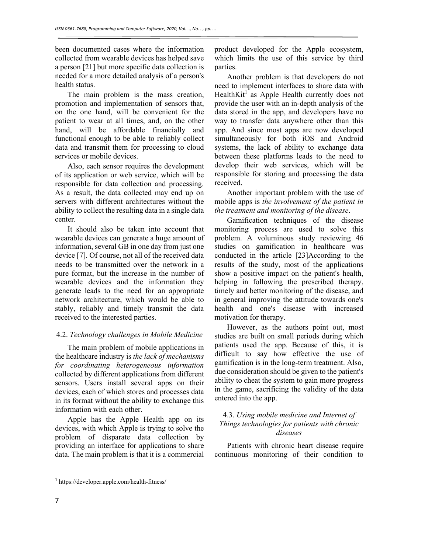been documented cases where the information collected from wearable devices has helped save a person [21] but more specific data collection is needed for a more detailed analysis of a person's health status.

The main problem is the mass creation, promotion and implementation of sensors that, on the one hand, will be convenient for the patient to wear at all times, and, on the other hand, will be affordable financially and functional enough to be able to reliably collect data and transmit them for processing to cloud services or mobile devices.

Also, each sensor requires the development of its application or web service, which will be responsible for data collection and processing. As a result, the data collected may end up on servers with different architectures without the ability to collect the resulting data in a single data center.

It should also be taken into account that wearable devices can generate a huge amount of information, several GB in one day from just one device [7]. Of course, not all of the received data needs to be transmitted over the network in a pure format, but the increase in the number of wearable devices and the information they generate leads to the need for an appropriate network architecture, which would be able to stably, reliably and timely transmit the data received to the interested parties.

## 4.2. *Technology challenges in Mobile Medicine*

The main problem of mobile applications in the healthcare industry is *the lack of mechanisms for coordinating heterogeneous information*  collected by different applications from different sensors. Users install several apps on their devices, each of which stores and processes data in its format without the ability to exchange this information with each other.

Apple has the Apple Health app on its devices, with which Apple is trying to solve the problem of disparate data collection by providing an interface for applications to share data. The main problem is that it is a commercial product developed for the Apple ecosystem, which limits the use of this service by third parties.

Another problem is that developers do not need to implement interfaces to share data with  $HealthKit<sup>1</sup>$  as Apple Health currently does not provide the user with an in-depth analysis of the data stored in the app, and developers have no way to transfer data anywhere other than this app. And since most apps are now developed simultaneously for both iOS and Android systems, the lack of ability to exchange data between these platforms leads to the need to develop their web services, which will be responsible for storing and processing the data received.

Another important problem with the use of mobile apps is *the involvement of the patient in the treatment and monitoring of the disease*.

Gamification techniques of the disease monitoring process are used to solve this problem. A voluminous study reviewing 46 studies on gamification in healthcare was conducted in the article [23]According to the results of the study, most of the applications show a positive impact on the patient's health, helping in following the prescribed therapy, timely and better monitoring of the disease, and in general improving the attitude towards one's health and one's disease with increased motivation for therapy.

However, as the authors point out, most studies are built on small periods during which patients used the app. Because of this, it is difficult to say how effective the use of gamification is in the long-term treatment. Also, due consideration should be given to the patient's ability to cheat the system to gain more progress in the game, sacrificing the validity of the data entered into the app.

## 4.3. *Using mobile medicine and Internet of Things technologies for patients with chronic diseases*

Patients with chronic heart disease require continuous monitoring of their condition to

<sup>1</sup> https://developer.apple.com/health-fitness/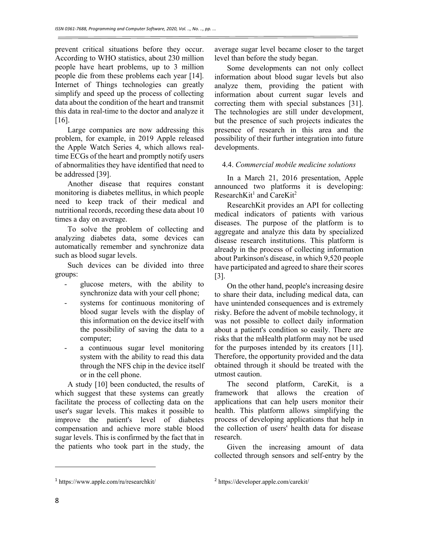prevent critical situations before they occur. According to WHO statistics, about 230 million people have heart problems, up to 3 million people die from these problems each year [14]. Internet of Things technologies can greatly simplify and speed up the process of collecting data about the condition of the heart and transmit this data in real-time to the doctor and analyze it [16].

Large companies are now addressing this problem, for example, in 2019 Apple released the Apple Watch Series 4, which allows realtime ECGs of the heart and promptly notify users of abnormalities they have identified that need to be addressed [39].

Another disease that requires constant monitoring is diabetes mellitus, in which people need to keep track of their medical and nutritional records, recording these data about 10 times a day on average.

To solve the problem of collecting and analyzing diabetes data, some devices can automatically remember and synchronize data such as blood sugar levels.

Such devices can be divided into three groups:

- glucose meters, with the ability to synchronize data with your cell phone;
- systems for continuous monitoring of blood sugar levels with the display of this information on the device itself with the possibility of saving the data to a computer;
- a continuous sugar level monitoring system with the ability to read this data through the NFS chip in the device itself or in the cell phone.

A study [10] been conducted, the results of which suggest that these systems can greatly facilitate the process of collecting data on the user's sugar levels. This makes it possible to improve the patient's level of diabetes compensation and achieve more stable blood sugar levels. This is confirmed by the fact that in the patients who took part in the study, the

average sugar level became closer to the target level than before the study began.

Some developments can not only collect information about blood sugar levels but also analyze them, providing the patient with information about current sugar levels and correcting them with special substances [31]. The technologies are still under development, but the presence of such projects indicates the presence of research in this area and the possibility of their further integration into future developments.

## 4.4. *Commercial mobile medicine solutions*

In a March 21, 2016 presentation, Apple announced two platforms it is developing: Research $Kit^1$  and CareKit<sup>2</sup>

ResearchKit provides an API for collecting medical indicators of patients with various diseases. The purpose of the platform is to aggregate and analyze this data by specialized disease research institutions. This platform is already in the process of collecting information about Parkinson's disease, in which 9,520 people have participated and agreed to share their scores [3].

On the other hand, people's increasing desire to share their data, including medical data, can have unintended consequences and is extremely risky. Before the advent of mobile technology, it was not possible to collect daily information about a patient's condition so easily. There are risks that the mHealth platform may not be used for the purposes intended by its creators [11]. Therefore, the opportunity provided and the data obtained through it should be treated with the utmost caution.

The second platform, CareKit, is a framework that allows the creation of applications that can help users monitor their health. This platform allows simplifying the process of developing applications that help in the collection of users' health data for disease research.

Given the increasing amount of data collected through sensors and self-entry by the

<sup>1</sup> https://www.apple.com/ru/researchkit/

<sup>2</sup> https://developer.apple.com/carekit/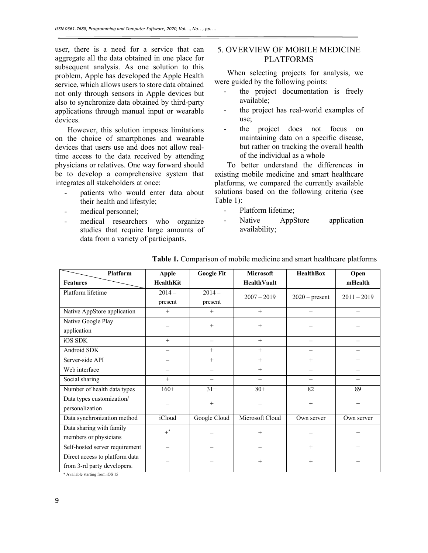user, there is a need for a service that can aggregate all the data obtained in one place for subsequent analysis. As one solution to this problem, Apple has developed the Apple Health service, which allows users to store data obtained not only through sensors in Apple devices but also to synchronize data obtained by third-party applications through manual input or wearable devices.

However, this solution imposes limitations on the choice of smartphones and wearable devices that users use and does not allow realtime access to the data received by attending physicians or relatives. One way forward should be to develop a comprehensive system that integrates all stakeholders at once:

- patients who would enter data about their health and lifestyle;
- medical personnel;
- medical researchers who organize studies that require large amounts of data from a variety of participants.

# 5. OVERVIEW OF MOBILE MEDICINE PLATFORMS

When selecting projects for analysis, we were guided by the following points:

- the project documentation is freely available;
- the project has real-world examples of use;
- the project does not focus on maintaining data on a specific disease, but rather on tracking the overall health of the individual as a whole

To better understand the differences in existing mobile medicine and smart healthcare platforms, we compared the currently available solutions based on the following criteria (see Table 1):

- Platform lifetime;
- Native AppStore application availability;

| <b>Platform</b>                | Apple                    | <b>Google Fit</b>        | <b>Microsoft</b> | <b>HealthBox</b>         | Open          |  |
|--------------------------------|--------------------------|--------------------------|------------------|--------------------------|---------------|--|
| <b>Features</b>                | <b>HealthKit</b>         |                          | HealthVault      |                          | mHealth       |  |
| Platform lifetime              | $2014-$                  | $2014-$                  | $2007 - 2019$    | $2020$ – present         | $2011 - 2019$ |  |
|                                | present                  | present                  |                  |                          |               |  |
| Native AppStore application    | $+$                      | $^{+}$                   | $+$              | $\overline{\phantom{0}}$ |               |  |
| Native Google Play             |                          | $^{+}$                   | $^{+}$           |                          |               |  |
| application                    |                          |                          |                  |                          |               |  |
| iOS SDK                        | $+$                      | $\overline{\phantom{0}}$ | $+$              | $\overline{\phantom{0}}$ |               |  |
| Android SDK                    | $\overline{\phantom{0}}$ | $^{+}$                   | $+$              | -                        |               |  |
| Server-side API                | $\overline{\phantom{0}}$ | $+$                      | $+$              | $+$                      | $+$           |  |
| Web interface                  |                          |                          | $+$              | $\overline{\phantom{0}}$ |               |  |
| Social sharing                 | $+$                      |                          |                  | $\overline{\phantom{0}}$ |               |  |
| Number of health data types    | $160+$                   | $31+$                    | $80+$            | 82                       | 89            |  |
| Data types customization/      |                          | $^{+}$                   |                  | $+$                      | $+$           |  |
| personalization                |                          |                          |                  |                          |               |  |
| Data synchronization method    | iCloud                   | Google Cloud             | Microsoft Cloud  | Own server               | Own server    |  |
| Data sharing with family       | $+^*$                    |                          | $^{+}$           |                          | $+$           |  |
| members or physicians          |                          |                          |                  |                          |               |  |
| Self-hosted server requirement | $\overline{\phantom{0}}$ |                          |                  | $+$                      | $+$           |  |
| Direct access to platform data |                          |                          | $^{+}$           | $^{+}$                   | $+$           |  |
| from 3-rd party developers.    |                          |                          |                  |                          |               |  |

|  |  |  |  | <b>Table 1.</b> Comparison of mobile medicine and smart healthcare platforms |  |
|--|--|--|--|------------------------------------------------------------------------------|--|
|  |  |  |  |                                                                              |  |

\* Available starting from iOS 15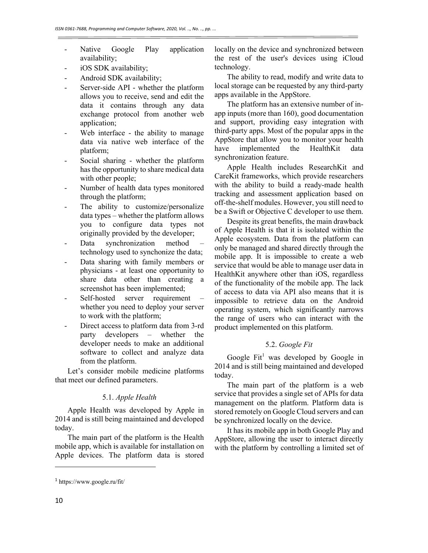- Native Google Play application availability;
- iOS SDK availability;
- Android SDK availability;
- Server-side API whether the platform allows you to receive, send and edit the data it contains through any data exchange protocol from another web application;
- Web interface the ability to manage data via native web interface of the platform;
- Social sharing whether the platform has the opportunity to share medical data with other people;
- Number of health data types monitored through the platform;
- The ability to customize/personalize data types – whether the platform allows you to configure data types not originally provided by the developer;
- Data synchronization method technology used to synchonize the data;
- Data sharing with family members or physicians - at least one opportunity to share data other than creating a screenshot has been implemented;
- Self-hosted server requirement whether you need to deploy your server to work with the platform;
- Direct access to platform data from 3-rd party developers – whether the developer needs to make an additional software to collect and analyze data from the platform.

Let's consider mobile medicine platforms that meet our defined parameters.

#### 5.1. *Apple Health*

Apple Health was developed by Apple in 2014 and is still being maintained and developed today.

The main part of the platform is the Health mobile app, which is available for installation on Apple devices. The platform data is stored locally on the device and synchronized between the rest of the user's devices using iCloud technology.

The ability to read, modify and write data to local storage can be requested by any third-party apps available in the AppStore.

The platform has an extensive number of inapp inputs (more than 160), good documentation and support, providing easy integration with third-party apps. Most of the popular apps in the AppStore that allow you to monitor your health have implemented the HealthKit data synchronization feature.

Apple Health includes ResearchKit and CareKit frameworks, which provide researchers with the ability to build a ready-made health tracking and assessment application based on off-the-shelf modules. However, you still need to be a Swift or Objective C developer to use them.

Despite its great benefits, the main drawback of Apple Health is that it is isolated within the Apple ecosystem. Data from the platform can only be managed and shared directly through the mobile app. It is impossible to create a web service that would be able to manage user data in HealthKit anywhere other than iOS, regardless of the functionality of the mobile app. The lack of access to data via API also means that it is impossible to retrieve data on the Android operating system, which significantly narrows the range of users who can interact with the product implemented on this platform.

## 5.2. *Google Fit*

Google  $Fit<sup>1</sup>$  was developed by Google in 2014 and is still being maintained and developed today.

The main part of the platform is a web service that provides a single set of APIs for data management on the platform. Platform data is stored remotely on Google Cloud servers and can be synchronized locally on the device.

It has its mobile app in both Google Play and AppStore, allowing the user to interact directly with the platform by controlling a limited set of

<sup>1</sup> https://www.google.ru/fit/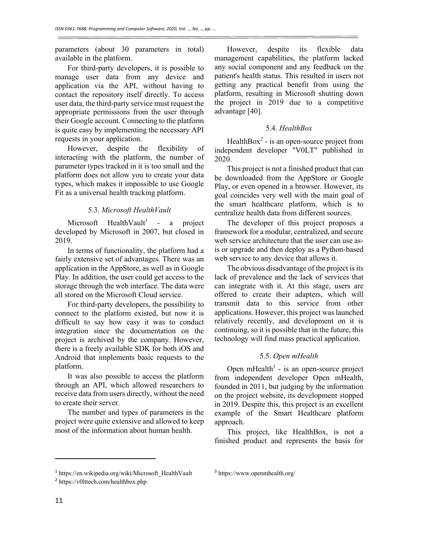parameters (about 30 parameters in total) available in the platform.

For third-party developers, it is possible to manage user data from any device and application via the API, without having to contact the repository itself directly. To access user data, the third-party service must request the appropriate permissions from the user through their Google account. Connecting to the platform is quite easy by implementing the necessary API requests in your application.

However, despite the flexibility of interacting with the platform, the number of parameter types tracked in it is too small and the platform does not allow you to create your data types, which makes it impossible to use Google Fit as a universal health tracking platform.

### 5.3. *Microsoft HealthVault*

Microsoft HealthVault<sup>1</sup> - a project developed by Microsoft in 2007, but closed in 2019.

In terms of functionality, the platform had a fairly extensive set of advantages. There was an application in the AppStore, as well as in Google Play. In addition, the user could get access to the storage through the web interface. The data were all stored on the Microsoft Cloud service.

For third-party developers, the possibility to connect to the platform existed, but now it is difficult to say how easy it was to conduct integration since the documentation on the project is archived by the company. However, there is a freely available SDK for both iOS and Android that implements basic requests to the platform.

It was also possible to access the platform through an API, which allowed researchers to receive data from users directly, without the need to create their server.

The number and types of parameters in the project were quite extensive and allowed to keep most of the information about human health.

However, despite its flexible data management capabilities, the platform lacked any social component and any feedback on the patient's health status. This resulted in users not getting any practical benefit from using the platform, resulting in Microsoft shutting down the project in 2019 due to a competitive advantage [40].

#### 5.4. *HealthBox*

HealthBox $2$  - is an open-source project from independent developer "V0LT" published in 2020.

This project is not a finished product that can be downloaded from the AppStore or Google Play, or even opened in a browser. However, its goal coincides very well with the main goal of the smart healthcare platform, which is to centralize health data from different sources.

The developer of this project proposes a framework for a modular, centralized, and secure web service architecture that the user can use asis or upgrade and then deploy as a Python-based web service to any device that allows it.

The obvious disadvantage of the project is its lack of prevalence and the lack of services that can integrate with it. At this stage, users are offered to create their adapters, which will transmit data to this service from other applications. However, this project was launched relatively recently, and development on it is continuing, so it is possible that in the future, this technology will find mass practical application.

#### 5.5. *Open mHealth*

Open mHealth<sup>3</sup> - is an open-source project from independent developer Open mHealth, founded in 2011, but judging by the information on the project website, its development stopped in 2019. Despite this, this project is an excellent example of the Smart Healthcare platform approach.

This project, like HealthBox, is not a finished product and represents the basis for

11

<sup>&</sup>lt;sup>1</sup> https://en.wikipedia.org/wiki/Microsoft HealthVault

<sup>2</sup> https://v0lttech.com/healthbox.php

<sup>3</sup> https://www.openmhealth.org/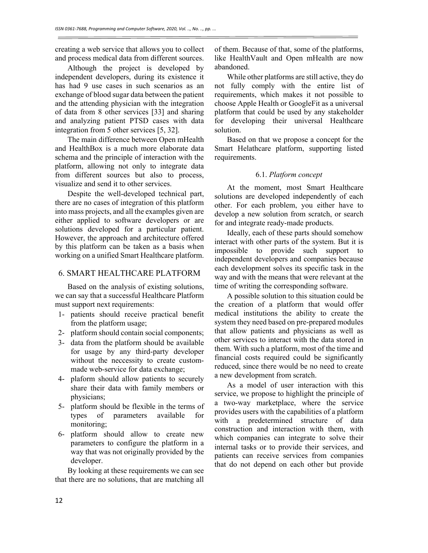creating a web service that allows you to collect and process medical data from different sources.

Although the project is developed by independent developers, during its existence it has had 9 use cases in such scenarios as an exchange of blood sugar data between the patient and the attending physician with the integration of data from 8 other services [33] and sharing and analyzing patient PTSD cases with data integration from 5 other services [5, 32].

The main difference between Open mHealth and HealthBox is a much more elaborate data schema and the principle of interaction with the platform, allowing not only to integrate data from different sources but also to process, visualize and send it to other services.

Despite the well-developed technical part, there are no cases of integration of this platform into mass projects, and all the examples given are either applied to software developers or are solutions developed for a particular patient. However, the approach and architecture offered by this platform can be taken as a basis when working on a unified Smart Healthcare platform.

## 6. SMART HEALTHCARE PLATFORM

Based on the analysis of existing solutions, we can say that a successful Healthcare Platform must support next requirements:

- 1- patients should receive practical benefit from the platform usage;
- 2- platform should contain social components;
- 3- data from the platform should be available for usage by any third-party developer without the neccessity to create custommade web-service for data exchange;
- 4- plaform should allow patients to securely share their data with family members or physicians;
- 5- platform should be flexible in the terms of types of parameters available for monitoring;
- 6- platform should allow to create new parameters to configure the platform in a way that was not originally provided by the developer.

By looking at these requirements we can see that there are no solutions, that are matching all of them. Because of that, some of the platforms, like HealthVault and Open mHealth are now abandoned.

While other platforms are still active, they do not fully comply with the entire list of requirements, which makes it not possible to choose Apple Health or GoogleFit as a universal platform that could be used by any stakeholder for developing their universal Healthcare solution.

Based on that we propose a concept for the Smart Helathcare platform, supporting listed requirements.

#### 6.1. *Platform concept*

At the moment, most Smart Healthcare solutions are developed independently of each other. For each problem, you either have to develop a new solution from scratch, or search for and integrate ready-made products.

Ideally, each of these parts should somehow interact with other parts of the system. But it is impossible to provide such support to independent developers and companies because each development solves its specific task in the way and with the means that were relevant at the time of writing the corresponding software.

A possible solution to this situation could be the creation of a platform that would offer medical institutions the ability to create the system they need based on pre-prepared modules that allow patients and physicians as well as other services to interact with the data stored in them. With such a platform, most of the time and financial costs required could be significantly reduced, since there would be no need to create a new development from scratch.

As a model of user interaction with this service, we propose to highlight the principle of a two-way marketplace, where the service provides users with the capabilities of a platform with a predetermined structure of data construction and interaction with them, with which companies can integrate to solve their internal tasks or to provide their services, and patients can receive services from companies that do not depend on each other but provide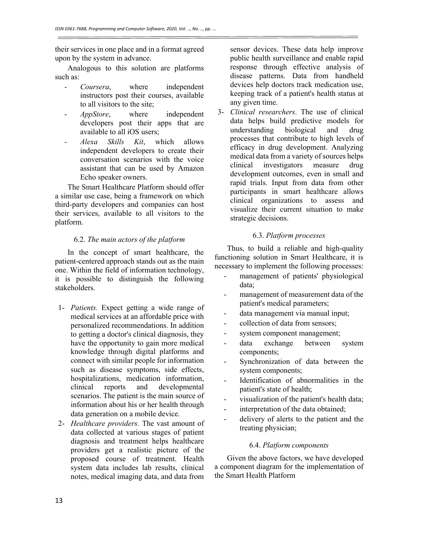their services in one place and in a format agreed upon by the system in advance.

Analogous to this solution are platforms such as:

- *Coursera*, where independent instructors post their courses, available to all visitors to the site;
- AppStore, where independent developers post their apps that are available to all iOS users;
- *Alexa Skills Kit*, which allows independent developers to create their conversation scenarios with the voice assistant that can be used by Amazon Echo speaker owners.

The Smart Healthcare Platform should offer a similar use case, being a framework on which third-party developers and companies can host their services, available to all visitors to the platform.

## 6.2. *The main actors of the platform*

In the concept of smart healthcare, the patient-centered approach stands out as the main one. Within the field of information technology, it is possible to distinguish the following stakeholders.

- 1- *Patients.* Expect getting a wide range of medical services at an affordable price with personalized recommendations. In addition to getting a doctor's clinical diagnosis, they have the opportunity to gain more medical knowledge through digital platforms and connect with similar people for information such as disease symptoms, side effects, hospitalizations, medication information, clinical reports and developmental scenarios. The patient is the main source of information about his or her health through data generation on a mobile device.
- 2- *Healthcare providers.* The vast amount of data collected at various stages of patient diagnosis and treatment helps healthcare providers get a realistic picture of the proposed course of treatment. Health system data includes lab results, clinical notes, medical imaging data, and data from

sensor devices. These data help improve public health surveillance and enable rapid response through effective analysis of disease patterns. Data from handheld devices help doctors track medication use, keeping track of a patient's health status at any given time.

3- *Clinical researchers*. The use of clinical data helps build predictive models for understanding biological and drug processes that contribute to high levels of efficacy in drug development. Analyzing medical data from a variety of sources helps clinical investigators measure drug development outcomes, even in small and rapid trials. Input from data from other participants in smart healthcare allows clinical organizations to assess and visualize their current situation to make strategic decisions.

## 6.3. *Platform processes*

Thus, to build a reliable and high-quality functioning solution in Smart Healthcare, it is necessary to implement the following processes:

- management of patients' physiological data;
- management of measurement data of the patient's medical parameters;
- data management via manual input;
- collection of data from sensors;
- system component management;
- data exchange between system components;
- Synchronization of data between the system components;
- Identification of abnormalities in the patient's state of health;
- visualization of the patient's health data;
- interpretation of the data obtained;
- delivery of alerts to the patient and the treating physician;

## 6.4. *Platform components*

Given the above factors, we have developed a component diagram for the implementation of the Smart Health Platform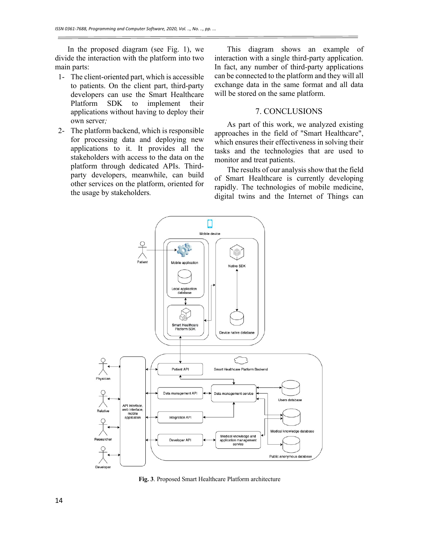In the proposed diagram (see Fig. 1), we divide the interaction with the platform into two main parts:

- 1- The client-oriented part, which is accessible to patients. On the client part, third-party developers can use the Smart Healthcare Platform SDK to implement their applications without having to deploy their own server*;*
- 2- The platform backend, which is responsible for processing data and deploying new applications to it. It provides all the stakeholders with access to the data on the platform through dedicated APIs. Thirdparty developers, meanwhile, can build other services on the platform, oriented for the usage by stakeholders*.*

This diagram shows an example of interaction with a single third-party application. In fact, any number of third-party applications can be connected to the platform and they will all exchange data in the same format and all data will be stored on the same platform.

## 7. CONCLUSIONS

As part of this work, we analyzed existing approaches in the field of "Smart Healthcare", which ensures their effectiveness in solving their tasks and the technologies that are used to monitor and treat patients.

The results of our analysis show that the field of Smart Healthcare is currently developing rapidly. The technologies of mobile medicine, digital twins and the Internet of Things can



**Fig. 3**. Proposed Smart Healthcare Platform architecture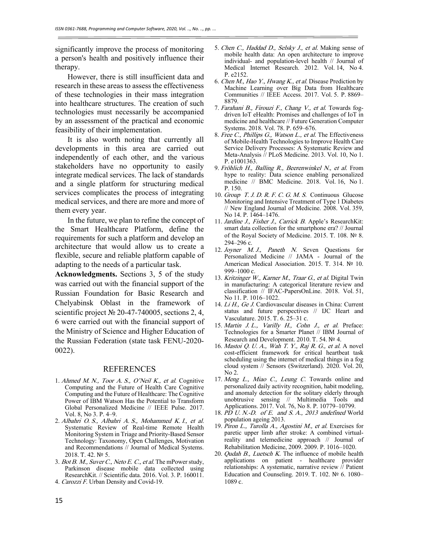significantly improve the process of monitoring a person's health and positively influence their therapy.

However, there is still insufficient data and research in these areas to assess the effectiveness of these technologies in their mass integration into healthcare structures. The creation of such technologies must necessarily be accompanied by an assessment of the practical and economic feasibility of their implementation.

It is also worth noting that currently all developments in this area are carried out independently of each other, and the various stakeholders have no opportunity to easily integrate medical services. The lack of standards and a single platform for structuring medical services complicates the process of integrating medical services, and there are more and more of them every year.

In the future, we plan to refine the concept of the Smart Healthcare Platform, define the requirements for such a platform and develop an architecture that would allow us to create a flexible, secure and reliable platform capable of adapting to the needs of a particular task.

**Acknowledgments.** Sections 3, 5 of the study was carried out with the financial support of the Russian Foundation for Basic Research and Chelyabinsk Oblast in the framework of scientific project  $N<sub>2</sub>$  20-47-740005, sections 2, 4, 6 were carried out with the financial support of the Ministry of Science and Higher Education of the Russian Federation (state task FENU-2020- 0022).

## REFERENCES

- 1. Ahmed M. N., Toor A. S., O'Neil K., et al. Cognitive Computing and the Future of Health Care Cognitive Computing and the Future of Healthcare: The Cognitive Power of IBM Watson Has the Potential to Transform Global Personalized Medicine // IEEE Pulse. 2017. Vol. 8, No 3. P. 4–9.
- 2. Albahri O. S., Albahri A. S., Mohammed K. I., et al. Systematic Review of Real-time Remote Health Monitoring System in Triage and Priority-Based Sensor Technology: Taxonomy, Open Challenges, Motivation and Recommendations // Journal of Medical Systems. 2018. Т. 42. № 5.
- 3. Bot B. M., Suver C., Neto E. C., et al. The mPower study, Parkinson disease mobile data collected using ResearchKit. // Scientific data. 2016. Vol. 3. P. 160011. 4. Carozzi F. Urban Density and Covid-19.
- 5. Chen C., Haddad D., Selsky J., et al. Making sense of mobile health data: An open architecture to improve individual- and population-level health // Journal of Medical Internet Research. 2012. Vol. 14, No 4. P. e2152.
- 6. Chen M., Hao Y., Hwang K., et al. Disease Prediction by Machine Learning over Big Data from Healthcare Communities // IEEE Access. 2017. Vol. 5. P. 8869– 8879.
- 7. Farahani B., Firouzi F., Chang V., et al. Towards fogdriven IoT eHealth: Promises and challenges of IoT in medicine and healthcare // Future Generation Computer Systems. 2018. Vol. 78. P. 659–676.
- 8. Free C., Phillips G., Watson L., et al. The Effectiveness of Mobile-Health Technologies to Improve Health Care Service Delivery Processes: A Systematic Review and Meta-Analysis // PLoS Medicine. 2013. Vol. 10, No 1. P. e1001363.
- 9. Fröhlich H., Balling R., Beerenwinkel N., et al. From hype to reality: Data science enabling personalized medicine // BMC Medicine. 2018. Vol. 16, No 1. P. 150.
- 10. Group T. J. D. R. F. C. G. M. S. Continuous Glucose Monitoring and Intensive Treatment of Type 1 Diabetes // New England Journal of Medicine. 2008. Vol. 359, No 14. P. 1464–1476.
- 11. Jardine J., Fisher J., Carrick B. Apple's ResearchKit: smart data collection for the smartphone era? // Journal of the Royal Society of Medicine. 2015. Т. 108. № 8. 294–296 с.
- 12. Joyner M. J., Paneth N. Seven Questions for Personalized Medicine // JAMA - Journal of the American Medical Association. 2015. Т. 314. № 10. 999–1000 с.
- 13. Kritzinger W., Karner M., Traar G., et al. Digital Twin in manufacturing: A categorical literature review and classification // IFAC-PapersOnLine. 2018. Vol. 51, No 11. P. 1016–1022.
- 14. Li H., Ge J. Cardiovascular diseases in China: Current status and future perspectives // IJC Heart and Vasculature. 2015. Т. 6. 25–31 с.
- 15. Martin J. L., Varilly H., Cohn J., et al. Preface: Technologies for a Smarter Planet // IBM Journal of Research and Development. 2010. T. 54. Nº 4.
- 16. Mastoi Q. U. A., Wah T. Y., Raj R. G., et al. A novel cost-efficient framework for critical heartbeat task scheduling using the internet of medical things in a fog cloud system // Sensors (Switzerland). 2020. Vol. 20, No 2.
- 17. Meng L., Miao C., Leung C. Towards online and personalized daily activity recognition, habit modeling, and anomaly detection for the solitary elderly through unobtrusive sensing // Multimedia Tools and Applications. 2017. Vol. 76, No 8. P. 10779–10799.
- 18.  $\widehat{PD}$  U. N.-D. of E. and S. A., 2013 undefined World population ageing 2013.
- 19. Piron L., Turolla A., Agostini M., et al. Exercises for paretic upper limb after stroke: A combined virtualreality and telemedicine approach // Journal of Rehabilitation Medicine, 2009. 2009. Р. 1016–1020.
- 20. Qudah B., Luetsch  $K$ . The influence of mobile health applications on patient - healthcare provider relationships: A systematic, narrative review // Patient Education and Counseling. 2019. Т. 102. № 6. 1080– 1089 с.